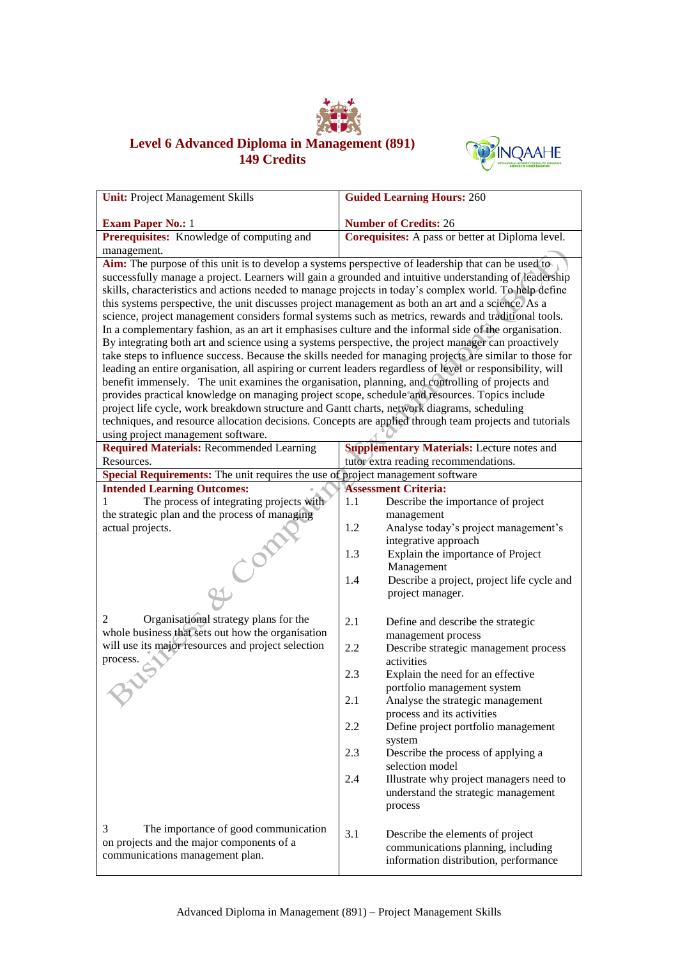

## **Level 6 Advanced Diploma in Management (891) 149 Credits**



| <b>Unit: Project Management Skills</b>                                                                                                                                                                       | <b>Guided Learning Hours: 260</b>                                                                         |  |  |
|--------------------------------------------------------------------------------------------------------------------------------------------------------------------------------------------------------------|-----------------------------------------------------------------------------------------------------------|--|--|
| <b>Exam Paper No.: 1</b>                                                                                                                                                                                     | <b>Number of Credits: 26</b>                                                                              |  |  |
| Prerequisites: Knowledge of computing and                                                                                                                                                                    | Corequisites: A pass or better at Diploma level.                                                          |  |  |
| management.                                                                                                                                                                                                  |                                                                                                           |  |  |
| Aim: The purpose of this unit is to develop a systems perspective of leadership that can be used to                                                                                                          |                                                                                                           |  |  |
| successfully manage a project. Learners will gain a grounded and intuitive understanding of leadership                                                                                                       |                                                                                                           |  |  |
|                                                                                                                                                                                                              |                                                                                                           |  |  |
| skills, characteristics and actions needed to manage projects in today's complex world. To help define<br>this systems perspective, the unit discusses project management as both an art and a science. As a |                                                                                                           |  |  |
| science, project management considers formal systems such as metrics, rewards and traditional tools.                                                                                                         |                                                                                                           |  |  |
| In a complementary fashion, as an art it emphasises culture and the informal side of the organisation.                                                                                                       |                                                                                                           |  |  |
| By integrating both art and science using a systems perspective, the project manager can proactively                                                                                                         |                                                                                                           |  |  |
|                                                                                                                                                                                                              | take steps to influence success. Because the skills needed for managing projects are similar to those for |  |  |
| leading an entire organisation, all aspiring or current leaders regardless of level or responsibility, will                                                                                                  |                                                                                                           |  |  |
| benefit immensely. The unit examines the organisation, planning, and controlling of projects and                                                                                                             |                                                                                                           |  |  |
| provides practical knowledge on managing project scope, schedule and resources. Topics include                                                                                                               |                                                                                                           |  |  |
| project life cycle, work breakdown structure and Gantt charts, network diagrams, scheduling                                                                                                                  |                                                                                                           |  |  |
| techniques, and resource allocation decisions. Concepts are applied through team projects and tutorials                                                                                                      |                                                                                                           |  |  |
| using project management software.                                                                                                                                                                           |                                                                                                           |  |  |
| <b>Required Materials: Recommended Learning</b>                                                                                                                                                              | <b>Supplementary Materials:</b> Lecture notes and                                                         |  |  |
| Resources.<br>Special Requirements: The unit requires the use of project management software                                                                                                                 | tutor extra reading recommendations.                                                                      |  |  |
| <b>Intended Learning Outcomes:</b>                                                                                                                                                                           | <b>Assessment Criteria:</b>                                                                               |  |  |
| The process of integrating projects with<br>1                                                                                                                                                                | Describe the importance of project<br>1.1                                                                 |  |  |
| the strategic plan and the process of managing                                                                                                                                                               | management                                                                                                |  |  |
| actual projects.                                                                                                                                                                                             | 1.2<br>Analyse today's project management's                                                               |  |  |
|                                                                                                                                                                                                              | integrative approach                                                                                      |  |  |
|                                                                                                                                                                                                              | 1.3<br>Explain the importance of Project                                                                  |  |  |
|                                                                                                                                                                                                              | Management                                                                                                |  |  |
|                                                                                                                                                                                                              | Describe a project, project life cycle and<br>1.4                                                         |  |  |
| LCORE                                                                                                                                                                                                        | project manager.                                                                                          |  |  |
|                                                                                                                                                                                                              |                                                                                                           |  |  |
| Organisational strategy plans for the<br>2                                                                                                                                                                   | 2.1<br>Define and describe the strategic                                                                  |  |  |
| whole business that sets out how the organisation                                                                                                                                                            | management process                                                                                        |  |  |
| will use its major resources and project selection                                                                                                                                                           | Describe strategic management process<br>2.2                                                              |  |  |
| process.                                                                                                                                                                                                     | activities                                                                                                |  |  |
|                                                                                                                                                                                                              | 2.3<br>Explain the need for an effective                                                                  |  |  |
|                                                                                                                                                                                                              | portfolio management system                                                                               |  |  |
|                                                                                                                                                                                                              | 2.1<br>Analyse the strategic management<br>process and its activities                                     |  |  |
|                                                                                                                                                                                                              | 2.2<br>Define project portfolio management                                                                |  |  |
|                                                                                                                                                                                                              | system                                                                                                    |  |  |
|                                                                                                                                                                                                              | 2.3<br>Describe the process of applying a                                                                 |  |  |
|                                                                                                                                                                                                              | selection model                                                                                           |  |  |
|                                                                                                                                                                                                              | 2.4<br>Illustrate why project managers need to                                                            |  |  |
|                                                                                                                                                                                                              | understand the strategic management                                                                       |  |  |
|                                                                                                                                                                                                              | process                                                                                                   |  |  |
|                                                                                                                                                                                                              |                                                                                                           |  |  |
| 3<br>The importance of good communication                                                                                                                                                                    | 3.1<br>Describe the elements of project                                                                   |  |  |
| on projects and the major components of a                                                                                                                                                                    | communications planning, including                                                                        |  |  |
| communications management plan.                                                                                                                                                                              | information distribution, performance                                                                     |  |  |
|                                                                                                                                                                                                              |                                                                                                           |  |  |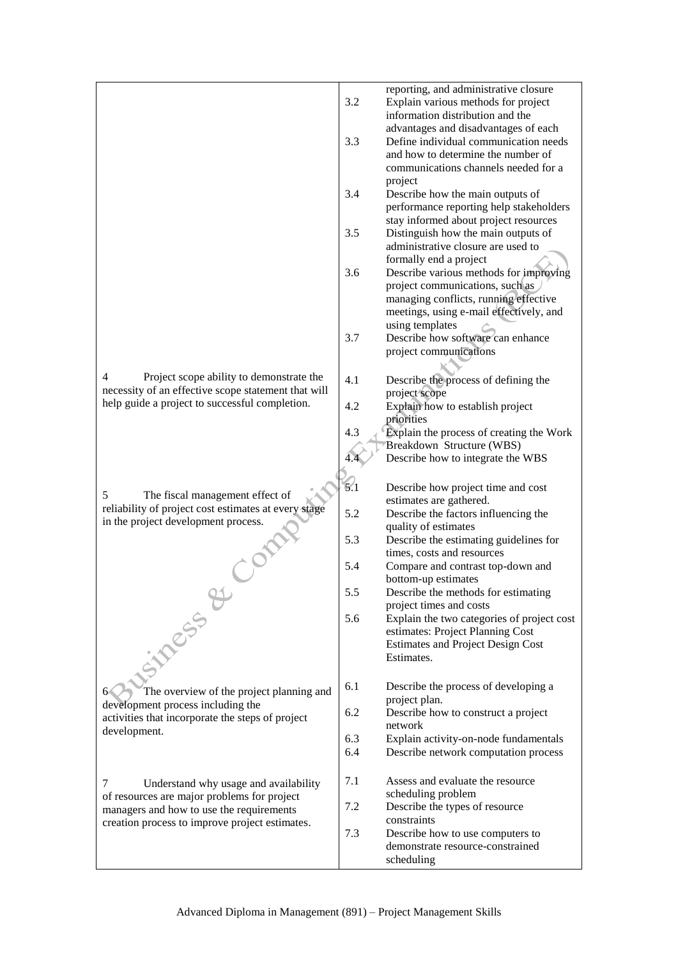|                                                                                     |     | reporting, and administrative closure                                            |
|-------------------------------------------------------------------------------------|-----|----------------------------------------------------------------------------------|
|                                                                                     | 3.2 | Explain various methods for project<br>information distribution and the          |
|                                                                                     |     | advantages and disadvantages of each                                             |
|                                                                                     | 3.3 | Define individual communication needs                                            |
|                                                                                     |     | and how to determine the number of                                               |
|                                                                                     |     | communications channels needed for a                                             |
|                                                                                     |     | project                                                                          |
|                                                                                     | 3.4 | Describe how the main outputs of                                                 |
|                                                                                     |     | performance reporting help stakeholders<br>stay informed about project resources |
|                                                                                     | 3.5 | Distinguish how the main outputs of                                              |
|                                                                                     |     | administrative closure are used to                                               |
|                                                                                     |     | formally end a project                                                           |
|                                                                                     | 3.6 | Describe various methods for improving                                           |
|                                                                                     |     | project communications, such as                                                  |
|                                                                                     |     | managing conflicts, running effective                                            |
|                                                                                     |     | meetings, using e-mail effectively, and                                          |
|                                                                                     | 3.7 | using templates<br>Describe how software can enhance                             |
|                                                                                     |     | project communications                                                           |
|                                                                                     |     |                                                                                  |
| 4<br>Project scope ability to demonstrate the                                       | 4.1 | Describe the process of defining the                                             |
| necessity of an effective scope statement that will                                 |     | project scope                                                                    |
| help guide a project to successful completion.                                      | 4.2 | Explain how to establish project<br>priorities                                   |
|                                                                                     | 4.3 | Explain the process of creating the Work                                         |
|                                                                                     |     | Breakdown Structure (WBS)                                                        |
|                                                                                     |     | Describe how to integrate the WBS                                                |
|                                                                                     |     |                                                                                  |
| The fiscal management effect of<br>5                                                | 5.1 | Describe how project time and cost                                               |
| reliability of project cost estimates at every stage                                |     | estimates are gathered.                                                          |
| in the project development process.                                                 | 5.2 | Describe the factors influencing the                                             |
|                                                                                     | 5.3 | quality of estimates<br>Describe the estimating guidelines for                   |
|                                                                                     |     | times, costs and resources                                                       |
|                                                                                     | 5.4 | Compare and contrast top-down and                                                |
|                                                                                     |     | bottom-up estimates                                                              |
|                                                                                     | 5.5 | Describe the methods for estimating                                              |
|                                                                                     |     | project times and costs                                                          |
|                                                                                     | 5.6 | Explain the two categories of project cost<br>estimates: Project Planning Cost   |
|                                                                                     |     | <b>Estimates and Project Design Cost</b>                                         |
|                                                                                     |     | Estimates.                                                                       |
|                                                                                     |     |                                                                                  |
| <b>Fishess &amp;</b>                                                                | 6.1 | Describe the process of developing a                                             |
| The overview of the project planning and<br>64<br>development process including the |     | project plan.                                                                    |
| activities that incorporate the steps of project                                    | 6.2 | Describe how to construct a project                                              |
| development.                                                                        |     | network                                                                          |
|                                                                                     | 6.3 | Explain activity-on-node fundamentals                                            |
|                                                                                     | 6.4 | Describe network computation process                                             |
| 7<br>Understand why usage and availability                                          | 7.1 | Assess and evaluate the resource                                                 |
| of resources are major problems for project                                         |     | scheduling problem                                                               |
| managers and how to use the requirements                                            | 7.2 | Describe the types of resource                                                   |
| creation process to improve project estimates.                                      |     | constraints                                                                      |
|                                                                                     | 7.3 | Describe how to use computers to                                                 |
|                                                                                     |     | demonstrate resource-constrained                                                 |
|                                                                                     |     | scheduling                                                                       |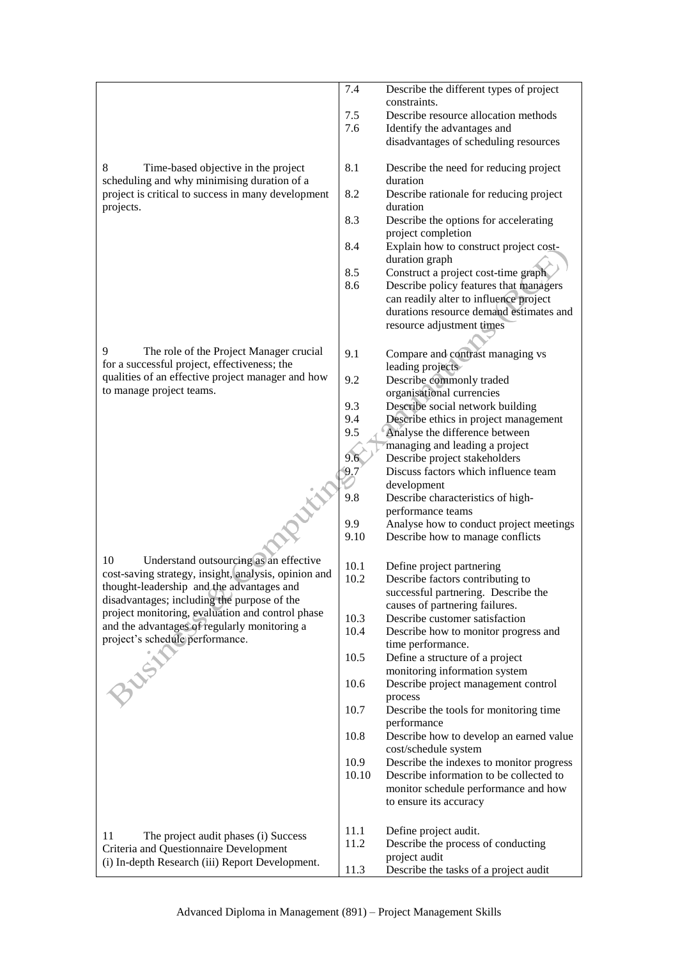|                                                                                         | 7.4   | Describe the different types of project                              |
|-----------------------------------------------------------------------------------------|-------|----------------------------------------------------------------------|
|                                                                                         |       | constraints.                                                         |
|                                                                                         | 7.5   | Describe resource allocation methods                                 |
|                                                                                         | 7.6   | Identify the advantages and                                          |
|                                                                                         |       | disadvantages of scheduling resources                                |
| 8<br>Time-based objective in the project<br>scheduling and why minimising duration of a | 8.1   | Describe the need for reducing project<br>duration                   |
| project is critical to success in many development                                      | 8.2   | Describe rationale for reducing project                              |
| projects.                                                                               |       | duration                                                             |
|                                                                                         | 8.3   | Describe the options for accelerating<br>project completion          |
|                                                                                         | 8.4   | Explain how to construct project cost-<br>duration graph             |
|                                                                                         | 8.5   | Construct a project cost-time graph                                  |
|                                                                                         | 8.6   | Describe policy features that managers                               |
|                                                                                         |       | can readily alter to influence project                               |
|                                                                                         |       | durations resource demand estimates and                              |
|                                                                                         |       | resource adjustment times                                            |
| 9<br>The role of the Project Manager crucial                                            |       |                                                                      |
| for a successful project, effectiveness; the                                            | 9.1   | Compare and contrast managing vs<br>leading projects                 |
| qualities of an effective project manager and how                                       | 9.2   | Describe commonly traded                                             |
| to manage project teams.                                                                |       | organisational currencies                                            |
|                                                                                         | 9.3   | Describe social network building                                     |
|                                                                                         | 9.4   | Describe ethics in project management                                |
|                                                                                         | 9.5   | Analyse the difference between                                       |
|                                                                                         |       | managing and leading a project                                       |
|                                                                                         | 9.6   | Describe project stakeholders                                        |
|                                                                                         | 9.7   | Discuss factors which influence team                                 |
|                                                                                         | 9.8   | development<br>Describe characteristics of high-                     |
|                                                                                         |       | performance teams                                                    |
|                                                                                         | 9.9   | Analyse how to conduct project meetings                              |
|                                                                                         | 9.10  | Describe how to manage conflicts                                     |
| Understand outsourcing as an effective<br>10                                            | 10.1  | Define project partnering                                            |
| cost-saving strategy, insight, analysis, opinion and                                    | 10.2  | Describe factors contributing to                                     |
| thought-leadership and the advantages and                                               |       | successful partnering. Describe the                                  |
| disadvantages; including the purpose of the                                             |       | causes of partnering failures.                                       |
| project monitoring, evaluation and control phase                                        | 10.3  | Describe customer satisfaction                                       |
| and the advantages of regularly monitoring a                                            | 10.4  | Describe how to monitor progress and                                 |
| project's schedule performance.                                                         |       | time performance.                                                    |
|                                                                                         | 10.5  | Define a structure of a project                                      |
| Sec.                                                                                    | 10.6  | monitoring information system<br>Describe project management control |
|                                                                                         | 10.7  | process<br>Describe the tools for monitoring time                    |
|                                                                                         |       | performance                                                          |
|                                                                                         | 10.8  | Describe how to develop an earned value<br>cost/schedule system      |
|                                                                                         | 10.9  | Describe the indexes to monitor progress                             |
|                                                                                         | 10.10 | Describe information to be collected to                              |
|                                                                                         |       | monitor schedule performance and how                                 |
|                                                                                         |       | to ensure its accuracy                                               |
|                                                                                         | 11.1  | Define project audit.                                                |
| 11<br>The project audit phases (i) Success                                              | 11.2  | Describe the process of conducting                                   |
| Criteria and Questionnaire Development                                                  |       | project audit                                                        |
| (i) In-depth Research (iii) Report Development.                                         | 11.3  | Describe the tasks of a project audit                                |